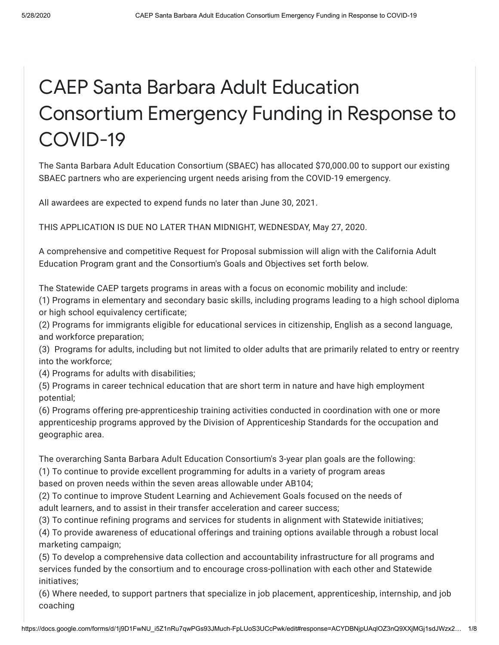# CAEP Santa Barbara Adult Education Consortium Emergency Funding in Response to COVID-19

The Santa Barbara Adult Education Consortium (SBAEC) has allocated \$70,000.00 to support our existing SBAEC partners who are experiencing urgent needs arising from the COVID-19 emergency.

All awardees are expected to expend funds no later than June 30, 2021.

THIS APPLICATION IS DUE NO LATER THAN MIDNIGHT, WEDNESDAY, May 27, 2020.

A comprehensive and competitive Request for Proposal submission will align with the California Adult Education Program grant and the Consortium's Goals and Objectives set forth below.

The Statewide CAEP targets programs in areas with a focus on economic mobility and include:

(1) Programs in elementary and secondary basic skills, including programs leading to a high school diploma or high school equivalency certificate;

(2) Programs for immigrants eligible for educational services in citizenship, English as a second language, and workforce preparation;

(3) Programs for adults, including but not limited to older adults that are primarily related to entry or reentry into the workforce;

(4) Programs for adults with disabilities;

(5) Programs in career technical education that are short term in nature and have high employment potential;

(6) Programs offering pre-apprenticeship training activities conducted in coordination with one or more apprenticeship programs approved by the Division of Apprenticeship Standards for the occupation and geographic area.

The overarching Santa Barbara Adult Education Consortium's 3-year plan goals are the following:

(1) To continue to provide excellent programming for adults in a variety of program areas

based on proven needs within the seven areas allowable under AB104;

(2) To continue to improve Student Learning and Achievement Goals focused on the needs of adult learners, and to assist in their transfer acceleration and career success;

(3) To continue refining programs and services for students in alignment with Statewide initiatives;

(4) To provide awareness of educational offerings and training options available through a robust local marketing campaign;

(5) To develop a comprehensive data collection and accountability infrastructure for all programs and services funded by the consortium and to encourage cross-pollination with each other and Statewide initiatives;

(6) Where needed, to support partners that specialize in job placement, apprenticeship, internship, and job coaching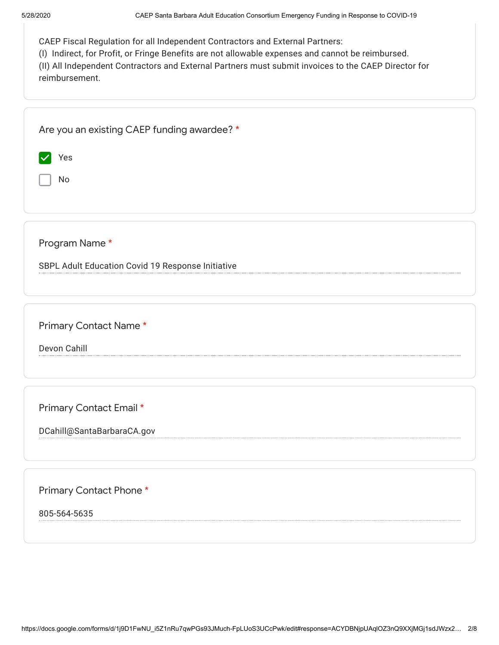| CAEP Fiscal Regulation for all Independent Contractors and External Partners: |  |  |
|-------------------------------------------------------------------------------|--|--|
|                                                                               |  |  |

(I) Indirect, for Profit, or Fringe Benefits are not allowable expenses and cannot be reimbursed.

(II) All Independent Contractors and External Partners must submit invoices to the CAEP Director for reimbursement.

| Are you an existing CAEP funding awardee? *       |
|---------------------------------------------------|
| Yes<br>M                                          |
| No                                                |
|                                                   |
|                                                   |
| Program Name*                                     |
| SBPL Adult Education Covid 19 Response Initiative |
|                                                   |
| Primary Contact Name*                             |
| Devon Cahill                                      |
|                                                   |
|                                                   |
| Primary Contact Email *                           |
| DCahill@SantaBarbaraCA.gov                        |
|                                                   |
|                                                   |
|                                                   |

Primary Contact Phone \*

805-564-5635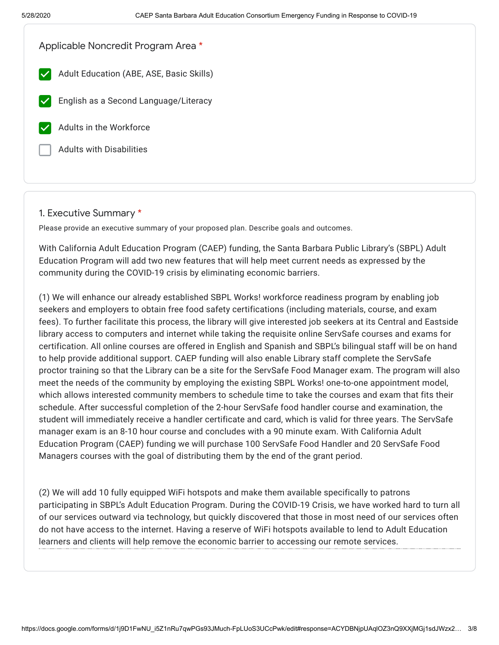| Applicable Noncredit Program Area *      |  |
|------------------------------------------|--|
| Adult Education (ABE, ASE, Basic Skills) |  |
| English as a Second Language/Literacy    |  |
| Adults in the Workforce                  |  |
| <b>Adults with Disabilities</b>          |  |
|                                          |  |

## 1. Executive Summary \*

Please provide an executive summary of your proposed plan. Describe goals and outcomes.

With California Adult Education Program (CAEP) funding, the Santa Barbara Public Library's (SBPL) Adult Education Program will add two new features that will help meet current needs as expressed by the community during the COVID-19 crisis by eliminating economic barriers.

(1) We will enhance our already established SBPL Works! workforce readiness program by enabling job seekers and employers to obtain free food safety certifications (including materials, course, and exam fees). To further facilitate this process, the library will give interested job seekers at its Central and Eastside library access to computers and internet while taking the requisite online ServSafe courses and exams for certification. All online courses are offered in English and Spanish and SBPL's bilingual staff will be on hand to help provide additional support. CAEP funding will also enable Library staff complete the ServSafe proctor training so that the Library can be a site for the ServSafe Food Manager exam. The program will also meet the needs of the community by employing the existing SBPL Works! one-to-one appointment model, which allows interested community members to schedule time to take the courses and exam that fits their schedule. After successful completion of the 2-hour ServSafe food handler course and examination, the student will immediately receive a handler certificate and card, which is valid for three years. The ServSafe manager exam is an 8-10 hour course and concludes with a 90 minute exam. With California Adult Education Program (CAEP) funding we will purchase 100 ServSafe Food Handler and 20 ServSafe Food Managers courses with the goal of distributing them by the end of the grant period.

(2) We will add 10 fully equipped WiFi hotspots and make them available specifically to patrons participating in SBPL's Adult Education Program. During the COVID-19 Crisis, we have worked hard to turn all of our services outward via technology, but quickly discovered that those in most need of our services often do not have access to the internet. Having a reserve of WiFi hotspots available to lend to Adult Education learners and clients will help remove the economic barrier to accessing our remote services.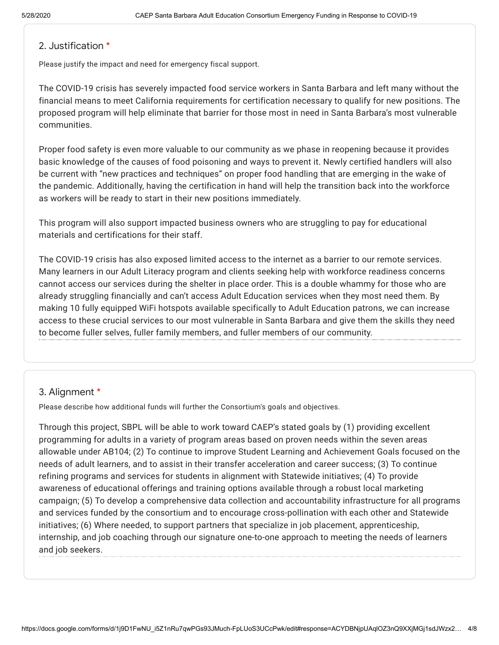## 2. Justification \*

Please justify the impact and need for emergency fiscal support.

The COVID-19 crisis has severely impacted food service workers in Santa Barbara and left many without the financial means to meet California requirements for certification necessary to qualify for new positions. The proposed program will help eliminate that barrier for those most in need in Santa Barbara's most vulnerable communities.

Proper food safety is even more valuable to our community as we phase in reopening because it provides basic knowledge of the causes of food poisoning and ways to prevent it. Newly certified handlers will also be current with "new practices and techniques" on proper food handling that are emerging in the wake of the pandemic. Additionally, having the certification in hand will help the transition back into the workforce as workers will be ready to start in their new positions immediately.

This program will also support impacted business owners who are struggling to pay for educational materials and certifications for their staff.

The COVID-19 crisis has also exposed limited access to the internet as a barrier to our remote services. Many learners in our Adult Literacy program and clients seeking help with workforce readiness concerns cannot access our services during the shelter in place order. This is a double whammy for those who are already struggling financially and can't access Adult Education services when they most need them. By making 10 fully equipped WiFi hotspots available specifically to Adult Education patrons, we can increase access to these crucial services to our most vulnerable in Santa Barbara and give them the skills they need to become fuller selves, fuller family members, and fuller members of our community.

## 3. Alignment \*

Please describe how additional funds will further the Consortium's goals and objectives.

Through this project, SBPL will be able to work toward CAEP's stated goals by (1) providing excellent programming for adults in a variety of program areas based on proven needs within the seven areas allowable under AB104; (2) To continue to improve Student Learning and Achievement Goals focused on the needs of adult learners, and to assist in their transfer acceleration and career success; (3) To continue refining programs and services for students in alignment with Statewide initiatives; (4) To provide awareness of educational offerings and training options available through a robust local marketing campaign; (5) To develop a comprehensive data collection and accountability infrastructure for all programs and services funded by the consortium and to encourage cross-pollination with each other and Statewide initiatives; (6) Where needed, to support partners that specialize in job placement, apprenticeship, internship, and job coaching through our signature one-to-one approach to meeting the needs of learners and job seekers.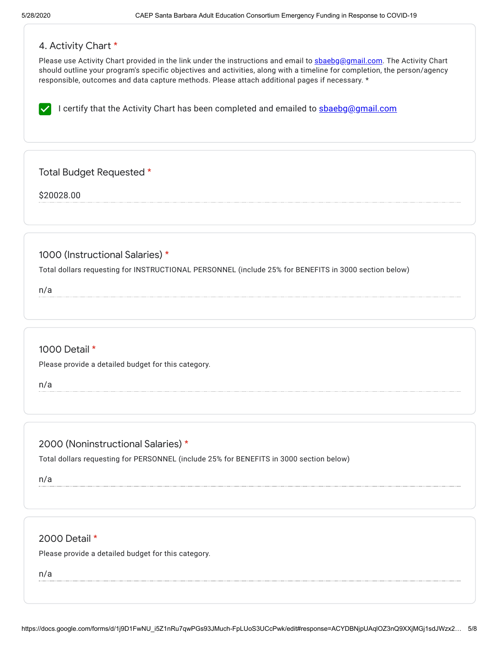# 4. Activity Chart \*

Please use Activity Chart provided in the link under the instructions and email to [sbaebg@gmail.com](mailto:sbaebg@gmail.com). The Activity Chart should outline your program's specific objectives and activities, along with a timeline for completion, the person/agency responsible, outcomes and data capture methods. Please attach additional pages if necessary. \*

I certify that the Activity Chart has been completed and emailed to **[sbaebg@gmail.com](mailto:sbaebg@gmail.com)** 

Total Budget Requested \*

\$20028.00

1000 (Instructional Salaries) \*

Total dollars requesting for INSTRUCTIONAL PERSONNEL (include 25% for BENEFITS in 3000 section below)

n/a

# 1000 Detail \*

Please provide a detailed budget for this category.

n/a

# 2000 (Noninstructional Salaries) \*

Total dollars requesting for PERSONNEL (include 25% for BENEFITS in 3000 section below)

n/a

# 2000 Detail \*

Please provide a detailed budget for this category.

n/a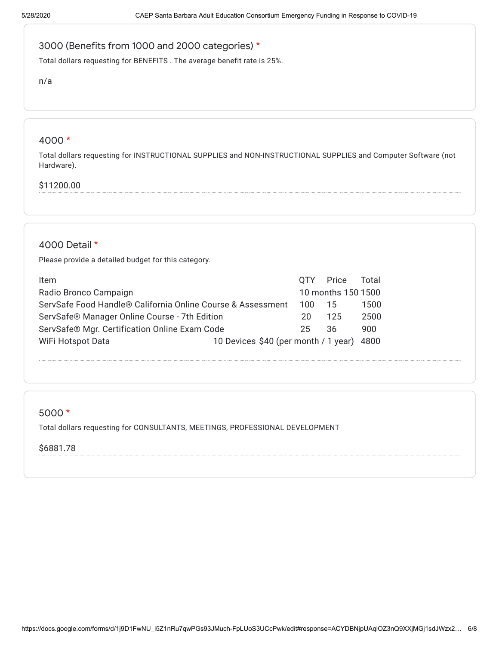# 3000 (Benefits from 1000 and 2000 categories) \*

Total dollars requesting for BENEFITS . The average benefit rate is 25%.

n/a

#### 4000 \*

Total dollars requesting for INSTRUCTIONAL SUPPLIES and NON-INSTRUCTIONAL SUPPLIES and Computer Software (not Hardware).

### \$11200.00

## 4000 Detail \*

Please provide a detailed budget for this category.

| Item                                                           |      | OTY Price          | Total |
|----------------------------------------------------------------|------|--------------------|-------|
| Radio Bronco Campaign                                          |      | 10 months 150 1500 |       |
| ServSafe Food Handle® California Online Course & Assessment    | 100. | 15                 | 1500  |
| ServSafe® Manager Online Course - 7th Edition                  | 20   | 125                | 2500  |
| ServSafe® Mgr. Certification Online Exam Code                  | 25   | 36                 | 900   |
| 10 Devices \$40 (per month / 1 year) 4800<br>WiFi Hotspot Data |      |                    |       |

#### 5000 \*

Total dollars requesting for CONSULTANTS, MEETINGS, PROFESSIONAL DEVELOPMENT

\$6881.78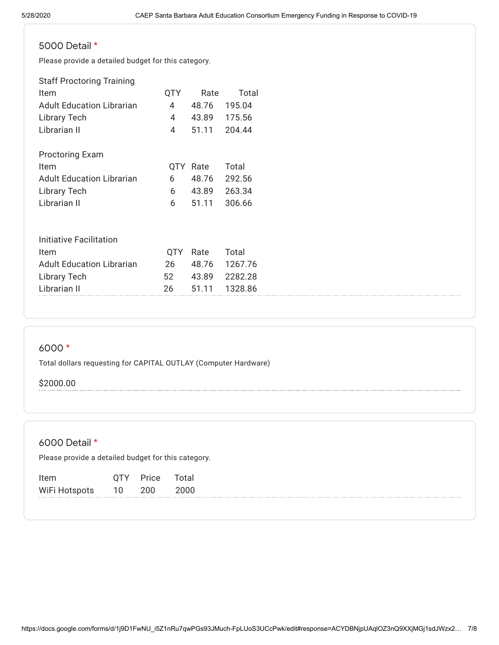# 5000 Detail \*

Please provide a detailed budget for this category.

| <b>Staff Proctoring Training</b> |      |       |         |
|----------------------------------|------|-------|---------|
| Item                             | QTY  | Rate  | Total   |
| <b>Adult Education Librarian</b> | 4    | 48.76 | 195.04  |
| <b>Library Tech</b>              | 4    | 43.89 | 175.56  |
| Librarian II                     | 4    | 51.11 | 204.44  |
| <b>Proctoring Exam</b>           |      |       |         |
| Item                             | 0TY. | Rate  | Total   |
| <b>Adult Education Librarian</b> | 6    | 48.76 | 292.56  |
| Library Tech                     | 6    | 43.89 | 263.34  |
| Librarian II                     | 6    | 51.11 | 306.66  |
|                                  |      |       |         |
| Initiative Facilitation          |      |       |         |
| Item                             | OTY  | Rate  | Total   |
| <b>Adult Education Librarian</b> | 26   | 48.76 | 1267.76 |

Library Tech 52 43.89 2282.28 Librarian II 26 51.11 1328.86

# 6000 \*

Total dollars requesting for CAPITAL OUTLAY (Computer Hardware)

#### \$2000.00

# 6000 Detail \*

Please provide a detailed budget for this category.

| Item          | 0TY | Price | Total |
|---------------|-----|-------|-------|
| WiFi Hotspots | 10  | 200   | 2000  |